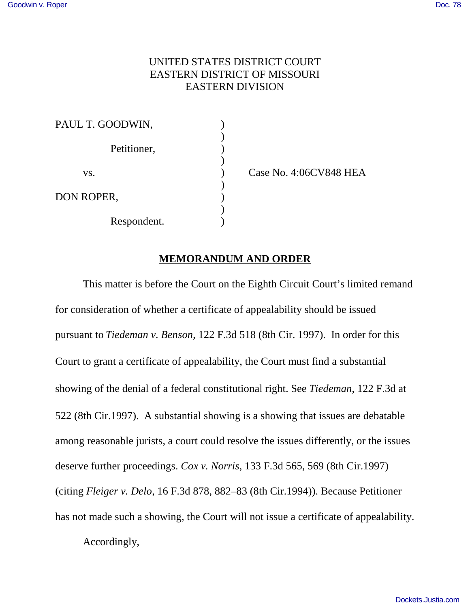## UNITED STATES DISTRICT COURT EASTERN DISTRICT OF MISSOURI EASTERN DIVISION

| PAUL T. GOODWIN, |  |
|------------------|--|
| Petitioner,      |  |
| VS.              |  |
| DON ROPER,       |  |
| Respondent.      |  |

Case No. 4:06CV848 HEA

## **MEMORANDUM AND ORDER**

This matter is before the Court on the Eighth Circuit Court's limited remand for consideration of whether a certificate of appealability should be issued pursuant to *Tiedeman v. Benson*, 122 F.3d 518 (8th Cir. 1997). In order for this Court to grant a certificate of appealability, the Court must find a substantial showing of the denial of a federal constitutional right. See *Tiedeman*, 122 F.3d at 522 (8th Cir.1997). A substantial showing is a showing that issues are debatable among reasonable jurists, a court could resolve the issues differently, or the issues deserve further proceedings. *Cox v. Norris*, 133 F.3d 565, 569 (8th Cir.1997) (citing *Fleiger v. Delo*, 16 F.3d 878, 882–83 (8th Cir.1994)). Because Petitioner has not made such a showing, the Court will not issue a certificate of appealability.

Accordingly,